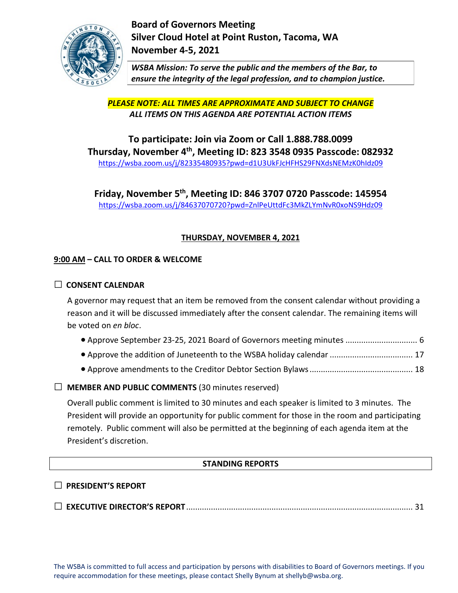

**Board of Governors Meeting Silver Cloud Hotel at Point Ruston, Tacoma, WA November 4-5, 2021**

*WSBA Mission: To serve the public and the members of the Bar, to ensure the integrity of the legal profession, and to champion justice.*

*PLEASE NOTE: ALL TIMES ARE APPROXIMATE AND SUBJECT TO CHANGE ALL ITEMS ON THIS AGENDA ARE POTENTIAL ACTION ITEMS*

**To participate: Join via Zoom or Call 1.888.788.0099 Thursday, November 4th, Meeting ID: 823 3548 0935 Passcode: 082932** [https://wsba.zoom.us/j/82335480935?pwd=d1U3UkFJcHFHS29FNXdsNEMzK0hIdz09](https://gcc02.safelinks.protection.outlook.com/?url=https%3A%2F%2Fwsba.zoom.us%2Fj%2F82335480935%3Fpwd%3Dd1U3UkFJcHFHS29FNXdsNEMzK0hIdz09&data=04%7C01%7CShellyb%40wsba.org%7C348a7e0401a844279fde08d9927244ef%7C70ff1cc281ea46819fc9079ce419e302%7C0%7C0%7C637701841764117920%7CUnknown%7CTWFpbGZsb3d8eyJWIjoiMC4wLjAwMDAiLCJQIjoiV2luMzIiLCJBTiI6Ik1haWwiLCJXVCI6Mn0%3D%7C1000&sdata=SuyluGoO1j6IrSbLHn29f7fRSPeSDQOqzgbcQWtspHQ%3D&reserved=0)

**Friday, November 5th, Meeting ID: 846 3707 0720 Passcode: 145954** [https://wsba.zoom.us/j/84637070720?pwd=ZnlPeUttdFc3MkZLYmNvR0xoNS9Hdz09](https://gcc02.safelinks.protection.outlook.com/?url=https%3A%2F%2Fwsba.zoom.us%2Fj%2F84637070720%3Fpwd%3DZnlPeUttdFc3MkZLYmNvR0xoNS9Hdz09&data=04%7C01%7CShellyb%40wsba.org%7C348a7e0401a844279fde08d9927244ef%7C70ff1cc281ea46819fc9079ce419e302%7C0%7C0%7C637701841764137832%7CUnknown%7CTWFpbGZsb3d8eyJWIjoiMC4wLjAwMDAiLCJQIjoiV2luMzIiLCJBTiI6Ik1haWwiLCJXVCI6Mn0%3D%7C1000&sdata=caYxTyiMZrFbS5YypY2G3qDY%2FuThfzfD8U6XBRh2lqY%3D&reserved=0)

# **THURSDAY, NOVEMBER 4, 2021**

## **9:00 AM – CALL TO ORDER & WELCOME**

## **□ CONSENT CALENDAR**

A governor may request that an item be removed from the consent calendar without providing a reason and it will be discussed immediately after the consent calendar. The remaining items will be voted on *en bloc*.

- Approve September 23-25, 2021 Board of Governors meeting minutes ................................ 6
- Approve the addition of Juneteenth to the WSBA holiday calendar ..................................... 17
- Approve amendments to the Creditor Debtor Section Bylaws.............................................. 18

## **□ MEMBER AND PUBLIC COMMENTS** (30 minutes reserved)

Overall public comment is limited to 30 minutes and each speaker is limited to 3 minutes. The President will provide an opportunity for public comment for those in the room and participating remotely. Public comment will also be permitted at the beginning of each agenda item at the President's discretion.

## **STANDING REPORTS**

## **□ PRESIDENT'S REPORT**

**□ EXECUTIVE DIRECTOR'S REPORT**..................................................................................................... <sup>31</sup>

The WSBA is committed to full access and participation by persons with disabilities to Board of Governors meetings. If you require accommodation for these meetings, please contact Shelly Bynum at shellyb@wsba.org.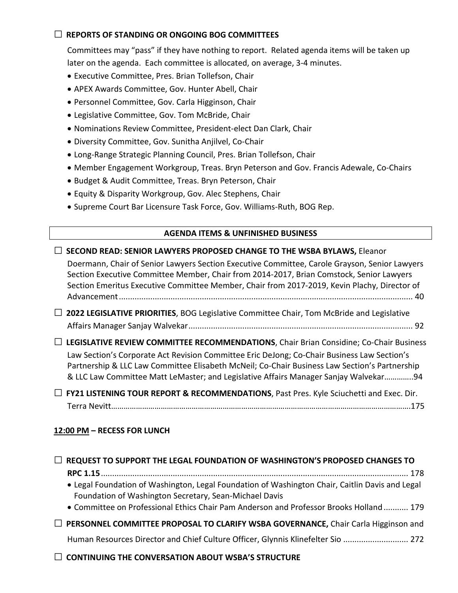## **□ REPORTS OF STANDING OR ONGOING BOG COMMITTEES**

Committees may "pass" if they have nothing to report. Related agenda items will be taken up later on the agenda. Each committee is allocated, on average, 3-4 minutes.

- Executive Committee, Pres. Brian Tollefson, Chair
- APEX Awards Committee, Gov. Hunter Abell, Chair
- Personnel Committee, Gov. Carla Higginson, Chair
- Legislative Committee, Gov. Tom McBride, Chair
- Nominations Review Committee, President-elect Dan Clark, Chair
- Diversity Committee, Gov. Sunitha Anjilvel, Co-Chair
- Long-Range Strategic Planning Council, Pres. Brian Tollefson, Chair
- Member Engagement Workgroup, Treas. Bryn Peterson and Gov. Francis Adewale, Co-Chairs
- Budget & Audit Committee, Treas. Bryn Peterson, Chair
- Equity & Disparity Workgroup, Gov. Alec Stephens, Chair
- Supreme Court Bar Licensure Task Force, Gov. Williams-Ruth, BOG Rep.

### **AGENDA ITEMS & UNFINISHED BUSINESS**

### **□ SECOND READ: SENIOR LAWYERS PROPOSED CHANGE TO THE WSBA BYLAWS,** Eleanor

Doermann, Chair of Senior Lawyers Section Executive Committee, Carole Grayson, Senior Lawyers Section Executive Committee Member, Chair from 2014-2017, Brian Comstock, Senior Lawyers Section Emeritus Executive Committee Member, Chair from 2017-2019, Kevin Plachy, Director of Advancement................................................................................................................................... 40

**□ 2022 LEGISLATIVE PRIORITIES**, BOG Legislative Committee Chair, Tom McBride and Legislative Affairs Manager Sanjay Walvekar.................................................................................................... 92

**□ LEGISLATIVE REVIEW COMMITTEE RECOMMENDATIONS**, Chair Brian Considine; Co-Chair Business Law Section's Corporate Act Revision Committee Eric DeJong; Co-Chair Business Law Section's Partnership & LLC Law Committee Elisabeth McNeil; Co-Chair Business Law Section's Partnership & LLC Law Committee Matt LeMaster; and Legislative Affairs Manager Sanjay Walvekar…………..94

**□ FY21 LISTENING TOUR REPORT & RECOMMENDATIONS**, Past Pres. Kyle Sciuchetti and Exec. Dir. Terra Nevitt……………………………………………………………………………………………………………………………….175

## **12:00 PM – RECESS FOR LUNCH**

| $\Box$ REQUEST TO SUPPORT THE LEGAL FOUNDATION OF WASHINGTON'S PROPOSED CHANGES TO                                                                        |
|-----------------------------------------------------------------------------------------------------------------------------------------------------------|
| • Legal Foundation of Washington, Legal Foundation of Washington Chair, Caitlin Davis and Legal<br>Foundation of Washington Secretary, Sean-Michael Davis |
| • Committee on Professional Ethics Chair Pam Anderson and Professor Brooks Holland  179                                                                   |
| $\Box$ PERSONNEL COMMITTEE PROPOSAL TO CLARIFY WSBA GOVERNANCE, Chair Carla Higginson and                                                                 |
| Human Resources Director and Chief Culture Officer, Glynnis Klinefelter Sio  272                                                                          |
| $\Box$ CONTINUING THE CONVERSATION ABOUT WSBA'S STRUCTURE                                                                                                 |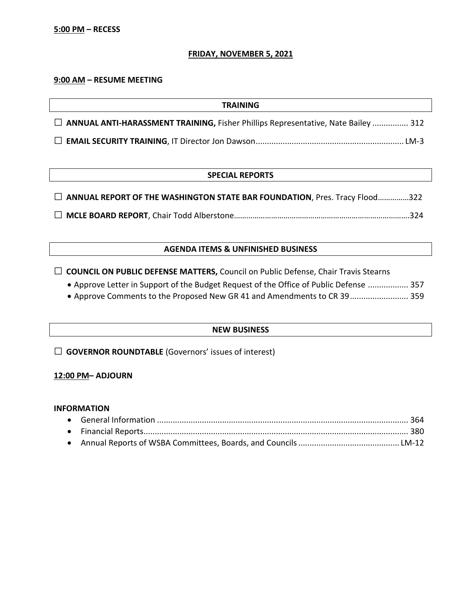### **FRIDAY, NOVEMBER 5, 2021**

#### **9:00 AM – RESUME MEETING**

| <b>TRAINING</b>                                                                     |
|-------------------------------------------------------------------------------------|
| □ ANNUAL ANTI-HARASSMENT TRAINING, Fisher Phillips Representative, Nate Bailey  312 |
|                                                                                     |

#### **SPECIAL REPORTS**

| □ ANNUAL REPORT OF THE WASHINGTON STATE BAR FOUNDATION, Pres. Tracy Flood322 |  |
|------------------------------------------------------------------------------|--|
|                                                                              |  |

**□ MCLE BOARD REPORT**, Chair Todd Alberstone………………………………………………………………………….324

### **AGENDA ITEMS & UNFINISHED BUSINESS**

□ **COUNCIL ON PUBLIC DEFENSE MATTERS,** Council on Public Defense, Chair Travis Stearns

• Approve Letter in Support of the Budget Request of the Office of Public Defense .................. 357

• Approve Comments to the Proposed New GR 41 and Amendments to CR 39.......................... 359

## **NEW BUSINESS**

**□ GOVERNOR ROUNDTABLE** (Governors' issues of interest)

### **12:00 PM– ADJOURN**

### **INFORMATION**